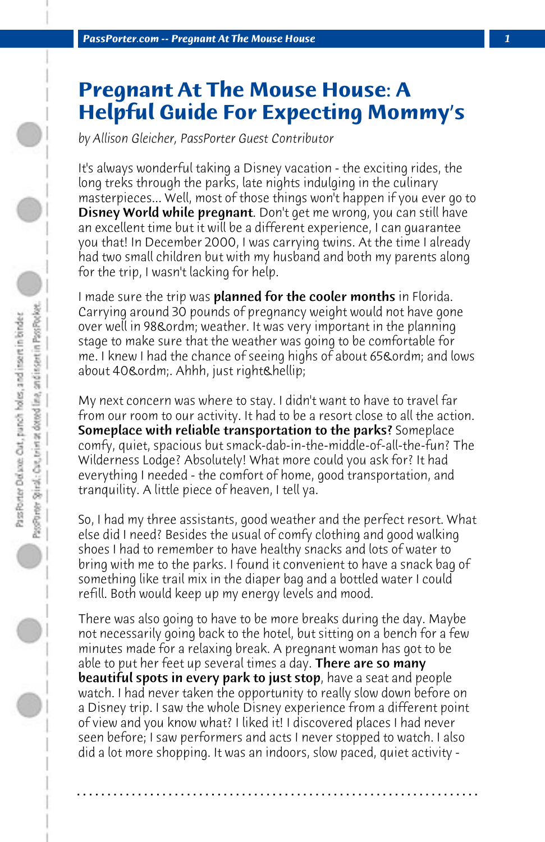## **Pregnant At The Mouse House: A Helpful Guide For Expecting Mommy's**

*by Allison Gleicher, PassPorter Guest Contributor*

It's always wonderful taking a Disney vacation - the exciting rides, the long treks through the parks, late nights indulging in the culinary masterpieces... Well, most of those things won't happen if you ever go to Disney World while pregnant. Don't get me wrong, you can still have an excellent time but it will be a different experience, I can guarantee you that! In December 2000, I was carrying twins. At the time I already had two small children but with my husband and both my parents along for the trip, I wasn't lacking for help.

I made sure the trip was **planned for the cooler months** in Florida. Carrying around 30 pounds of pregnancy weight would not have gone over well in 98& ordm; weather. It was very important in the planning stage to make sure that the weather was going to be comfortable for me. I knew I had the chance of seeing highs of about 65& ordm; and lows about 40º. Ahhh, just right…

My next concern was where to stay. I didn't want to have to travel far from our room to our activity. It had to be a resort close to all the action. Someplace with reliable transportation to the parks? Someplace comfy, quiet, spacious but smack-dab-in-the-middle-of-all-the-fun? The Wilderness Lodge? Absolutely! What more could you ask for? It had everything I needed - the comfort of home, good transportation, and tranquility. A little piece of heaven, I tell ya.

So, I had my three assistants, good weather and the perfect resort. What else did I need? Besides the usual of comfy clothing and good walking shoes I had to remember to have healthy snacks and lots of water to bring with me to the parks. I found it convenient to have a snack bag of something like trail mix in the diaper bag and a bottled water I could refill. Both would keep up my energy levels and mood.

There was also going to have to be more breaks during the day. Maybe not necessarily going back to the hotel, but sitting on a bench for a few minutes made for a relaxing break. A pregnant woman has got to be able to put her feet up several times a day. There are so many **beautiful spots in every park to just stop**, have a seat and people watch. I had never taken the opportunity to really slow down before on a Disney trip. I saw the whole Disney experience from a different point of view and you know what? I liked it! I discovered places I had never seen before; I saw performers and acts I never stopped to watch. I also did a lot more shopping. It was an indoors, slow paced, quiet activity -

**. . . . . . . . . . . . . . . . . . . . . . . . . . . . . . . . . . . . . . . . . . . . . . . . . . . . . . . . . . . . . . . . . .**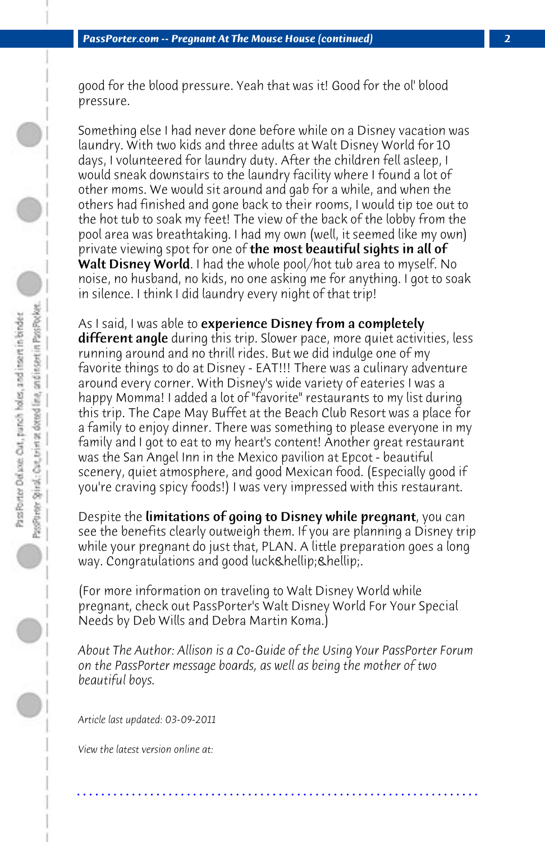good for the blood pressure. Yeah that was it! Good for the ol' blood pressure.

Something else I had never done before while on a Disney vacation was laundry. With two kids and three adults at Walt Disney World for 10 days, I volunteered for laundry duty. After the children fell asleep, I would sneak downstairs to the laundry facility where I found a lot of other moms. We would sit around and gab for a while, and when the others had finished and gone back to their rooms, I would tip toe out to the hot tub to soak my feet! The view of the back of the lobby from the pool area was breathtaking. I had my own (well, it seemed like my own) private viewing spot for one of **the most beautiful sights in all of** Walt Disney World. I had the whole pool/hot tub area to myself. No noise, no husband, no kids, no one asking me for anything. I got to soak in silence. I think I did laundry every night of that trip!

As I said, I was able to experience Disney from a completely **different angle** during this trip. Slower pace, more quiet activities, less running around and no thrill rides. But we did indulge one of my favorite things to do at Disney - EAT!!! There was a culinary adventure around every corner. With Disney's wide variety of eateries I was a happy Momma! I added a lot of "favorite" restaurants to my list during this trip. The Cape May Buffet at the Beach Club Resort was a place for a family to enjoy dinner. There was something to please everyone in my family and I got to eat to my heart's content! Another great restaurant was the San Angel Inn in the Mexico pavilion at Epcot - beautiful scenery, quiet atmosphere, and good Mexican food. (Especially good if you're craving spicy foods!) I was very impressed with this restaurant.

Despite the limitations of going to Disney while pregnant, you can see the benefits clearly outweigh them. If you are planning a Disney trip while your pregnant do just that, PLAN. A little preparation goes a long way. Congratulations and good luck… ….

(For more information on traveling to Walt Disney World while pregnant, check out PassPorter's Walt Disney World For Your Special Needs by Deb Wills and Debra Martin Koma.)

*About The Author: Allison is a Co-Guide of the Using Your PassPorter Forum on the PassPorter message boards, as well as being the mother of two beautiful boys.*

**. . . . . . . . . . . . . . . . . . . . . . . . . . . . . . . . . . . . . . . . . . . . . . . . . . . . . . . . . . . . . . . . . .**

*Article last updated: 03-09-2011*

*View the latest version online at:*